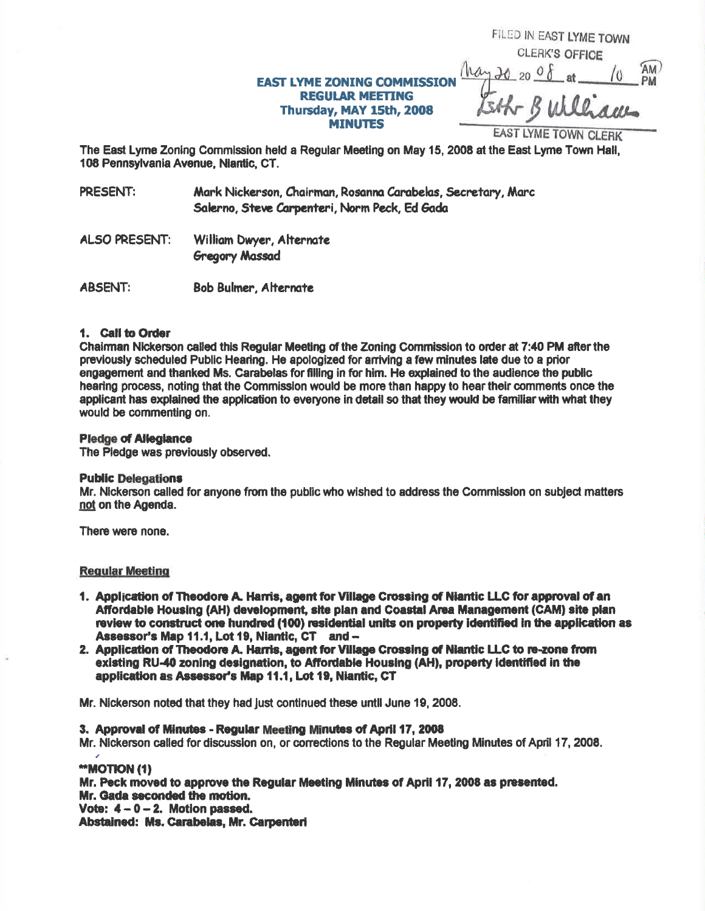# **EAST LYME ZONING COMMISSIO REGULAR MEETING** Thursday, MAY 15th, 2008 **MINUTES**

**CLERK'S OFFICE**  $20,200$ EAST LYME TOWN CLERK

FILED IN EAST LYME TOWN

The East Lyme Zoning Commission held a Regular Meeting on May 15, 2008 at the East Lyme Town Hall, 108 Pennsylvania Avenue, Niantic, CT.

PRESENT: Mark Nickerson, Chairman, Rosanna Carabelas, Secretary, Marc Salerno, Steve Carpenteri, Norm Peck, Ed Gada

- **ALSO PRESENT:** William Dwyer, Alternate **Gregory Massad**
- **ABSENT: Bob Bulmer, Alternate**

# 1. Call to Order

Chairman Nickerson called this Reqular Meeting of the Zoning Commission to order at 7:40 PM after the previously scheduled Public Hearing. He apologized for arriving a few minutes late due to a prior engagement and thanked Ms. Carabelas for filling in for him. He explained to the audience the public hearing process, noting that the Commission would be more than happy to hear their comments once the applicant has explained the application to everyone in detail so that they would be familiar with what they would be commenting on.

# **Pledge of Allegiance**

The Piedge was previously observed.

# **Public Delegations**

Mr. Nickerson called for anyone from the public who wished to address the Commission on subject matters not on the Agenda.

There were none.

# **Regular Meeting**

- 1. Application of Theodore A. Harris, agent for Village Crossing of Niantic LLC for approval of an Affordable Housing (AH) development, site plan and Coastal Area Management (CAM) site plan review to construct one hundred (100) residential units on property identified in the application as Assessor's Map 11.1, Lot 19, Niantic, CT and -
- 2. Application of Theodore A. Harris, agent for Village Crossing of Niantic LLC to re-zone from existing RU-40 zoning designation, to Affordable Housing (AH), property identified in the application as Assessor's Map 11.1, Lot 19, Niantic, CT

Mr. Nickerson noted that they had just continued these until June 19, 2008.

# 3. Approval of Minutes - Regular Meeting Minutes of April 17, 2008

Mr. Nickerson called for discussion on, or corrections to the Regular Meeting Minutes of April 17, 2008.

# "MOTION (1)

Mr. Peck moved to approve the Regular Meeting Minutes of April 17, 2008 as presented. Mr. Gada seconded the motion. Vote:  $4 - 0 - 2$ . Motion passed. Abstained: Ms. Carabelas, Mr. Carpenteri